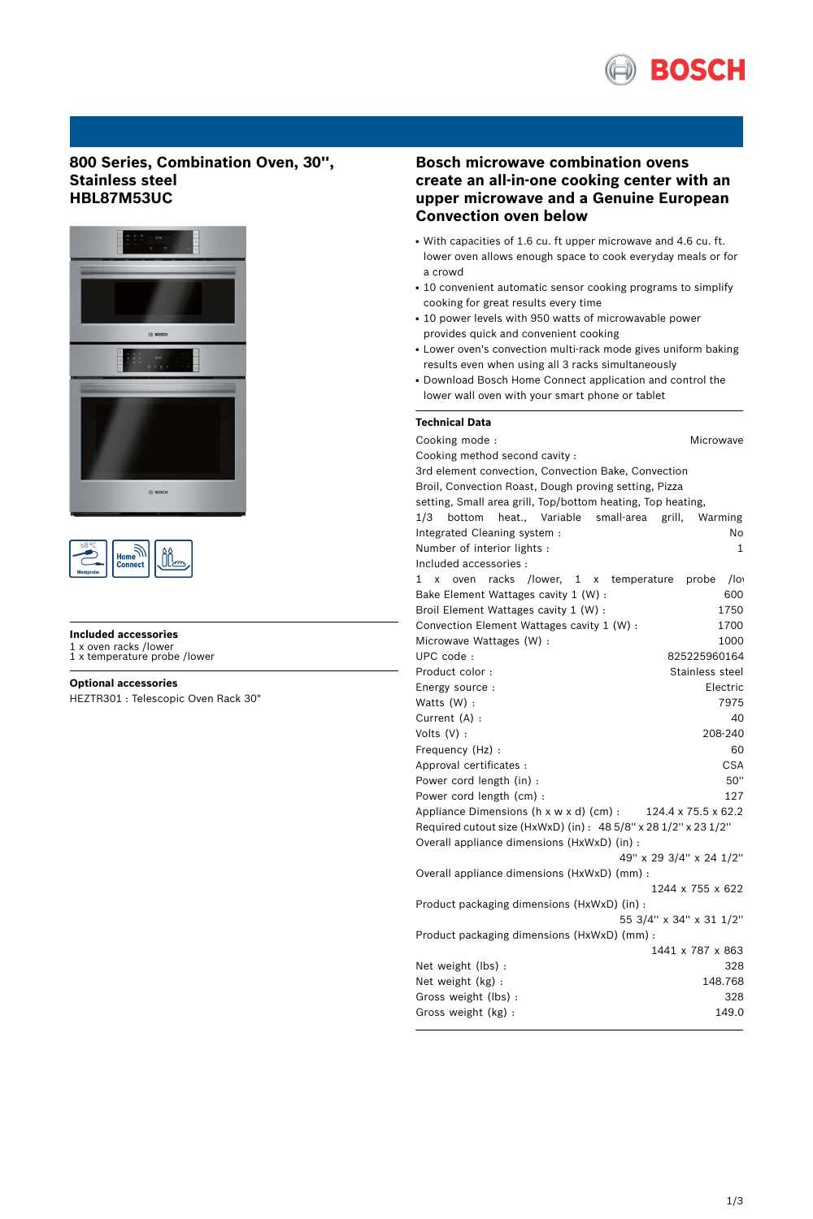

# **800 Series, Combination Oven, 30'', Stainless steel HBL87M53UC**





## **Included accessories**

1 x oven racks /lower 1 x temperature probe /lower

# **Optional accessories**

HEZTR301 : Telescopic Oven Rack 30"

# **Bosch microwave combination ovens create an all-in-one cooking center with an upper microwave and a Genuine European Convection oven below**

- With capacities of 1.6 cu. ft upper microwave and 4.6 cu. ft. lower oven allows enough space to cook everyday meals or for a crowd
- 10 convenient automatic sensor cooking programs to simplify cooking for great results every time
- 10 power levels with 950 watts of microwavable power provides quick and convenient cooking
- Lower oven's convection multi-rack mode gives uniform baking results even when using all 3 racks simultaneously
- Download Bosch Home Connect application and control the lower wall oven with your smart phone or tablet

## **Technical Data**

| Cooking mode:                                                   | Microwave               |
|-----------------------------------------------------------------|-------------------------|
| Cooking method second cavity:                                   |                         |
| 3rd element convection, Convection Bake, Convection             |                         |
| Broil, Convection Roast, Dough proving setting, Pizza           |                         |
| setting, Small area grill, Top/bottom heating, Top heating,     |                         |
| 1/3<br>bottom<br>heat., Variable<br>small-area                  | grill,<br>Warming       |
| Integrated Cleaning system :                                    | No                      |
| Number of interior lights :                                     | 1                       |
| Included accessories :                                          |                         |
| racks<br>/lower,<br>temperature<br>1.<br>x<br>oven<br>1<br>X    | $/$ lo<br>probe         |
| Bake Element Wattages cavity 1 (W) :                            | 600                     |
| Broil Element Wattages cavity 1 (W) :                           | 1750                    |
| Convection Element Wattages cavity 1 (W) :                      | 1700                    |
| Microwave Wattages (W) :                                        | 1000                    |
| UPC code:                                                       | 825225960164            |
| Product color:                                                  | Stainless steel         |
| Energy source :                                                 | Electric                |
| Watts (W) :                                                     | 7975                    |
| Current (A) :                                                   | 40                      |
| Volts $(V)$ :                                                   | 208-240                 |
| Frequency (Hz) :                                                | 60                      |
| Approval certificates :                                         | <b>CSA</b>              |
| Power cord length (in) :                                        | 50"                     |
| Power cord length (cm) :                                        | 127                     |
| Appliance Dimensions (h x w x d) (cm) :                         | 124.4 x 75.5 x 62.2     |
| Required cutout size (HxWxD) (in) : 48 5/8" x 28 1/2" x 23 1/2" |                         |
| Overall appliance dimensions (HxWxD) (in) :                     |                         |
|                                                                 | 49" x 29 3/4" x 24 1/2" |
| Overall appliance dimensions (HxWxD) (mm) :                     |                         |
|                                                                 | 1244 x 755 x 622        |
| Product packaging dimensions (HxWxD) (in) :                     |                         |
|                                                                 | 55 3/4" x 34" x 31 1/2" |
| Product packaging dimensions (HxWxD) (mm) :                     |                         |
|                                                                 | 1441 x 787 x 863        |
| Net weight (lbs) :                                              | 328                     |
| Net weight (kg) :                                               | 148.768                 |
| Gross weight (lbs):                                             | 328                     |
| Gross weight (kg) :                                             | 149.0                   |
|                                                                 |                         |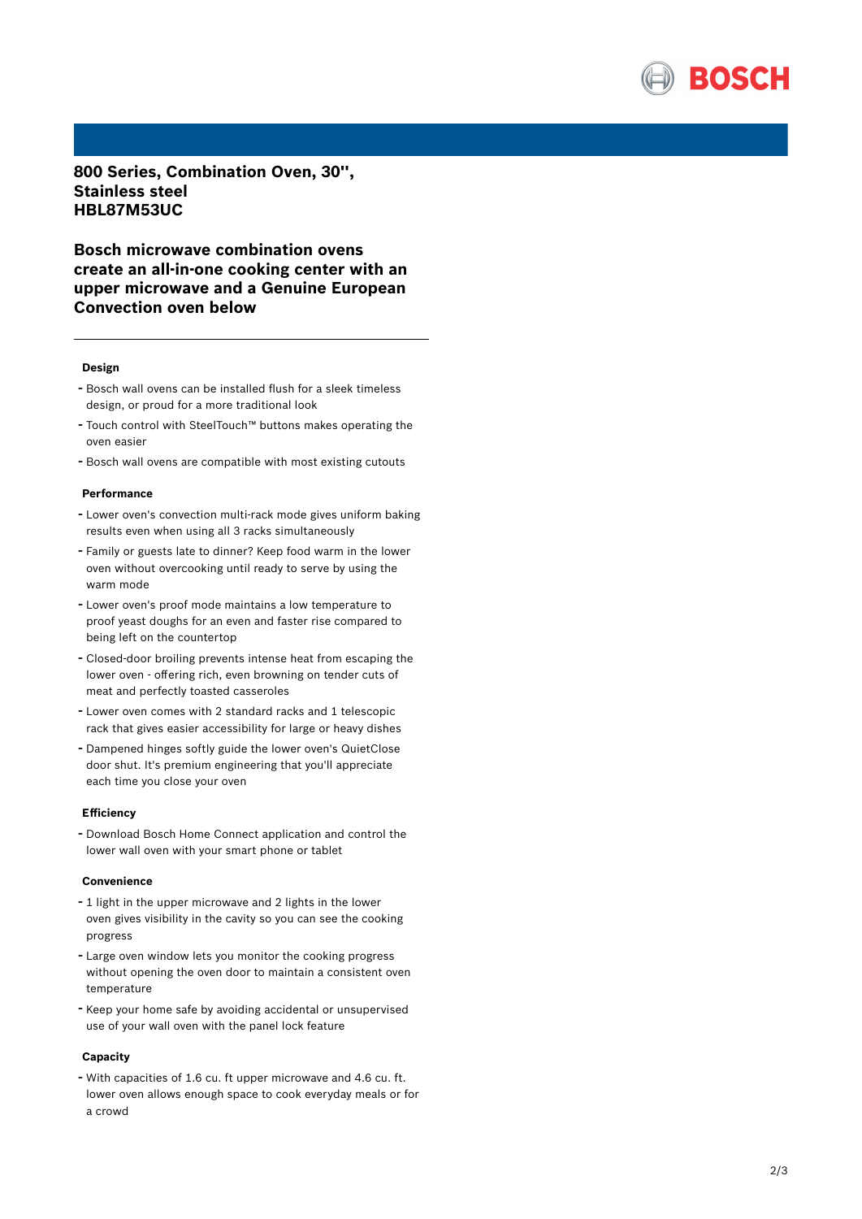

800 Series, Combination Oven, 30", **Stainless steel HBL87M53UC**

Bosch microwave combination ovens create an all-in-one cooking center with an upper microwave and a Genuine European **Convection oven below** 

#### **Design**

- Bosch wall ovens can be installed flush for a sleek timeless design, or proud for a more traditional look
- Touch control with SteelTouch™ buttons makes operating the oven easier
- Bosch wall ovens are compatible with most existing cutouts

#### **P e r f o r m a n c e**

- Lower oven's convection multi-rack mode gives uniform baking results even when using all 3 racks simultaneously
- Family or guests late to dinner? Keep food warm in the lower oven without overcooking until ready to serve by using the warm mode
- Lower oven's proof mode maintains a low temperature to proof yeast doughs for an even and faster rise compared to being left on the countertop
- Closed-door broiling prevents intense heat from escaping the lower oven - offering rich, even browning on tender cuts of meat and perfectly toasted casseroles
- Lower oven comes with 2 standard racks and 1 telescopic rack that gives easier accessibility for large or heavy dishes
- Dampened hinges softly guide the lower oven's QuietClose door shut. It's premium engineering that you'll appreciate each time you close your oven

### **Efficiency**

- Download Bosch Home Connect application and control the lower wall oven with your smart phone or tablet

### **Convenience**

- 1 light in the upper microwave and 2 lights in the lower oven gives visibility in the cavity so you can see the cooking progress
- Large oven window lets you monitor the cooking progress without opening the oven door to maintain a consistent oven temperature
- Keep your home safe by avoiding accidental or unsupervised use of your wall oven with the panel lock feature

### **Capacity**

- With capacities of 1.6 cu. ft upper microwave and 4.6 cu. ft. lower oven allows enough space to cook everyday meals or for a c r o w d